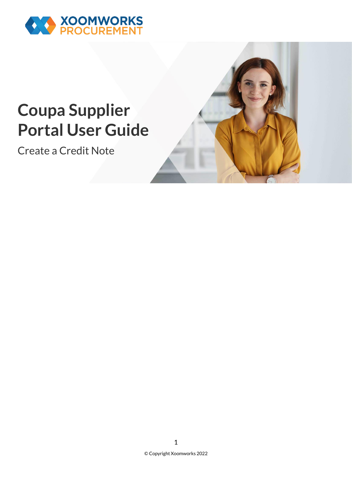

## **Coupa Supplier Portal User Guide**

Create a Credit Note

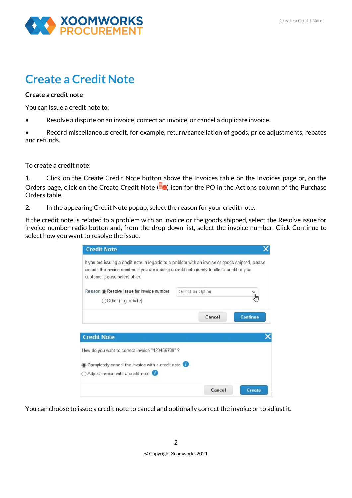

## **Create a Credit Note**

## **Create a credit note**

You can issue a credit note to:

• Resolve a dispute on an invoice, correct an invoice, or cancel a duplicate invoice.

• Record miscellaneous credit, for example, return/cancellation of goods, price adjustments, rebates and refunds.

To create a credit note:

1. Click on the Create Credit Note button above the Invoices table on the Invoices page or, on the Orders page, click on the Create Credit Note  $\left( \frac{1}{2} \right)$  icon for the PO in the Actions column of the Purchase Orders table.

2. In the appearing Credit Note popup, select the reason for your credit note.

If the credit note is related to a problem with an invoice or the goods shipped, select the Resolve issue for invoice number radio button and, from the drop-down list, select the invoice number. Click Continue to select how you want to resolve the issue.

| include the invoice number. If you are issuing a credit note purely to offer a credit to your<br>customer please select other. | If you are issuing a credit note in regards to a problem with an invoice or goods shipped, please |          |
|--------------------------------------------------------------------------------------------------------------------------------|---------------------------------------------------------------------------------------------------|----------|
| Reason @ Resolve issue for invoice number                                                                                      | Select an Option                                                                                  |          |
| Other (e.g. rebate)                                                                                                            |                                                                                                   |          |
|                                                                                                                                | Cancel                                                                                            | Continue |
| <b>Credit Note</b>                                                                                                             |                                                                                                   |          |
| How do you want to correct invoice "123456789" ?                                                                               |                                                                                                   |          |
|                                                                                                                                |                                                                                                   |          |
| Completely cancel the invoice with a credit note                                                                               |                                                                                                   |          |

You can choose to issue a credit note to cancel and optionally correct the invoice or to adjust it.